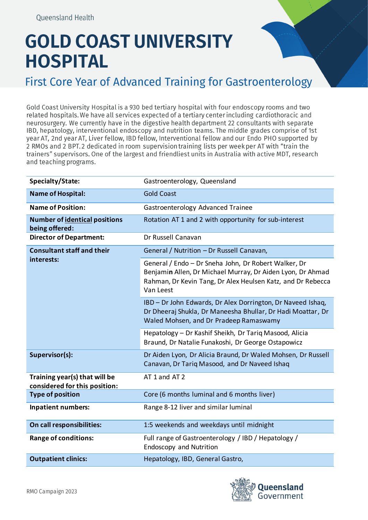## **GOLD COAST UNIVERSITY HOSPITAL**

First Core Year of Advanced Training for Gastroenterology

Gold Coast University Hospital is a 930 bed tertiary hospital with four endoscopy rooms and two related hospitals. We have all services expected of a tertiary center including cardiothoracic and neurosurgery. We currently have in the digestive health department 22 consultants with separate IBD, hepatology, interventional endoscopy and nutrition teams. The middle grades comprise of 1st year AT, 2nd year AT, Liver fellow, IBD fellow, Interventional fellow and our Endo PHO supported by 2 RMOs and 2 BPT. 2 dedicated in room supervision training lists per week per AT with "train the trainers" supervisors. One of the largest and friendliest units in Australia with active MDT, research and teaching programs.

| Specialty/State:                                               | Gastroenterology, Queensland                                                                                                                                                                   |
|----------------------------------------------------------------|------------------------------------------------------------------------------------------------------------------------------------------------------------------------------------------------|
| <b>Name of Hospital:</b>                                       | <b>Gold Coast</b>                                                                                                                                                                              |
| <b>Name of Position:</b>                                       | Gastroenterology Advanced Trainee                                                                                                                                                              |
| <b>Number of identical positions</b><br>being offered:         | Rotation AT 1 and 2 with opportunity for sub-interest                                                                                                                                          |
| <b>Director of Department:</b>                                 | Dr Russell Canavan                                                                                                                                                                             |
| <b>Consultant staff and their</b><br>interests:                | General / Nutrition - Dr Russell Canavan,                                                                                                                                                      |
|                                                                | General / Endo - Dr Sneha John, Dr Robert Walker, Dr<br>Benjamin Allen, Dr Michael Murray, Dr Aiden Lyon, Dr Ahmad<br>Rahman, Dr Kevin Tang, Dr Alex Heulsen Katz, and Dr Rebecca<br>Van Leest |
|                                                                | IBD - Dr John Edwards, Dr Alex Dorrington, Dr Naveed Ishaq,<br>Dr Dheeraj Shukla, Dr Maneesha Bhullar, Dr Hadi Moattar, Dr<br>Waled Mohsen, and Dr Pradeep Ramaswamy                           |
|                                                                | Hepatology - Dr Kashif Sheikh, Dr Tariq Masood, Alicia<br>Braund, Dr Natalie Funakoshi, Dr George Ostapowicz                                                                                   |
| Supervisor(s):                                                 | Dr Aiden Lyon, Dr Alicia Braund, Dr Waled Mohsen, Dr Russell<br>Canavan, Dr Tariq Masood, and Dr Naveed Ishaq                                                                                  |
| Training year(s) that will be<br>considered for this position: | AT 1 and AT 2                                                                                                                                                                                  |
| <b>Type of position</b>                                        | Core (6 months luminal and 6 months liver)                                                                                                                                                     |
| <b>Inpatient numbers:</b>                                      | Range 8-12 liver and similar luminal                                                                                                                                                           |
| On call responsibilities:                                      | 1:5 weekends and weekdays until midnight                                                                                                                                                       |
| <b>Range of conditions:</b>                                    | Full range of Gastroenterology / IBD / Hepatology /<br><b>Endoscopy and Nutrition</b>                                                                                                          |
| <b>Outpatient clinics:</b>                                     | Hepatology, IBD, General Gastro,                                                                                                                                                               |